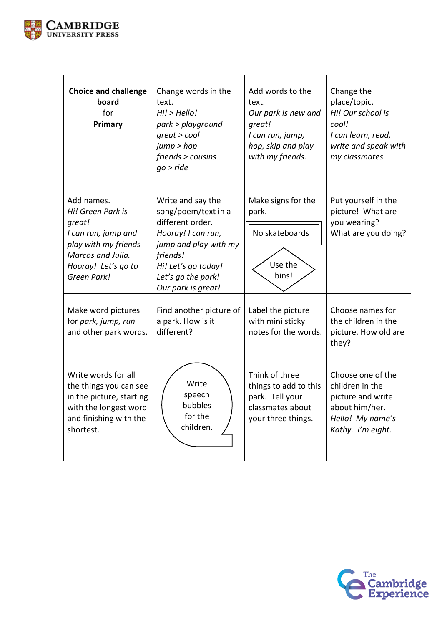

| <b>Choice and challenge</b><br>board<br>for<br>Primary                                                                                              | Change words in the<br>text.<br>Hi! > Hello!<br>park > playground<br>$qreat > cool$<br>jump > hop<br>friends > cousins<br>$qo$ > ride                                                      | Add words to the<br>text.<br>Our park is new and<br>great!<br>I can run, jump,<br>hop, skip and play<br>with my friends. | Change the<br>place/topic.<br>Hi! Our school is<br>cool!<br>I can learn, read,<br>write and speak with<br>my classmates. |
|-----------------------------------------------------------------------------------------------------------------------------------------------------|--------------------------------------------------------------------------------------------------------------------------------------------------------------------------------------------|--------------------------------------------------------------------------------------------------------------------------|--------------------------------------------------------------------------------------------------------------------------|
| Add names.<br>Hi! Green Park is<br>great!<br>I can run, jump and<br>play with my friends<br>Marcos and Julia.<br>Hooray! Let's go to<br>Green Park! | Write and say the<br>song/poem/text in a<br>different order.<br>Hooray! I can run,<br>jump and play with my<br>friends!<br>Hi! Let's go today!<br>Let's go the park!<br>Our park is great! | Make signs for the<br>park.<br>No skateboards<br>Use the<br>bins!                                                        | Put yourself in the<br>picture! What are<br>you wearing?<br>What are you doing?                                          |
| Make word pictures<br>for park, jump, run<br>and other park words.                                                                                  | Find another picture of<br>a park. How is it<br>different?                                                                                                                                 | Label the picture<br>with mini sticky<br>notes for the words.                                                            | Choose names for<br>the children in the<br>picture. How old are<br>they?                                                 |
| Write words for all<br>the things you can see<br>in the picture, starting<br>with the longest word<br>and finishing with the<br>shortest.           | Write<br>speech<br>bubbles<br>for the<br>children.                                                                                                                                         | Think of three<br>things to add to this<br>park. Tell your<br>classmates about<br>your three things.                     | Choose one of the<br>children in the<br>picture and write<br>about him/her.<br>Hello! My name's<br>Kathy. I'm eight.     |

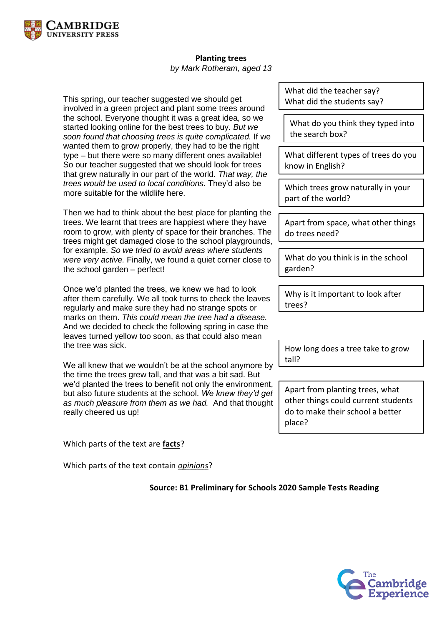

## **Planting trees**

*by Mark Rotheram, aged 13*

This spring, our teacher suggested we should get involved in a green project and plant some trees around the school. Everyone thought it was a great idea, so we started looking online for the best trees to buy. *But we soon found that choosing trees is quite complicated.* If we wanted them to grow properly, they had to be the right type – but there were so many different ones available! So our teacher suggested that we should look for trees that grew naturally in our part of the world. *That way, the trees would be used to local conditions.* They'd also be more suitable for the wildlife here.

Then we had to think about the best place for planting the trees. We learnt that trees are happiest where they have room to grow, with plenty of space for their branches. The trees might get damaged close to the school playgrounds, for example. *So we tried to avoid areas where students were very active.* Finally, we found a quiet corner close to the school garden – perfect!

Once we'd planted the trees, we knew we had to look after them carefully. We all took turns to check the leaves regularly and make sure they had no strange spots or marks on them. *This could mean the tree had a disease.*  And we decided to check the following spring in case the leaves turned yellow too soon, as that could also mean the tree was sick.

We all knew that we wouldn't be at the school anymore by the time the trees grew tall, and that was a bit sad. But we'd planted the trees to benefit not only the environment, but also future students at the school. *We knew they'd get as much pleasure from them as we had.* And that thought really cheered us up!

Which parts of the text are **facts**?

Which parts of the text contain *opinions*?

What did the teacher say? What did the students say?

What do you think they typed into the search box?

What different types of trees do you know in English?

Which trees grow naturally in your part of the world?

Apart from space, what other things do trees need?

What do you think is in the school garden?

Why is it important to look after trees?

How long does a tree take to grow tall?

Apart from planting trees, what other things could current students do to make their school a better place?

**Source: B1 Preliminary for Schools 2020 Sample Tests Reading**